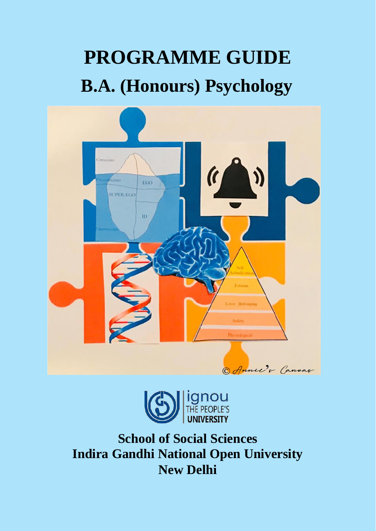# **PROGRAMME GUIDE B.A. (Honours) Psychology**





**School of Social Sciences Indira Gandhi National Open University New Delhi**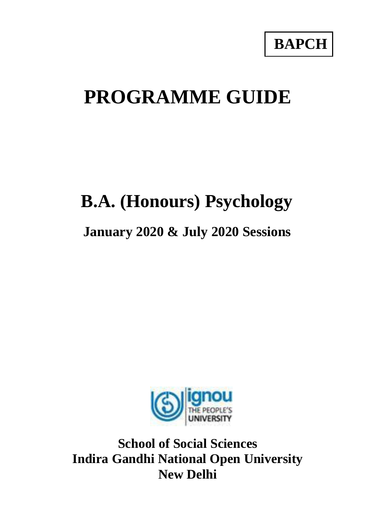# **PROGRAMME GUIDE**

# **B.A. (Honours) Psychology**

# **January 2020 & July 2020 Sessions**



**School of Social Sciences Indira Gandhi National Open University New Delhi**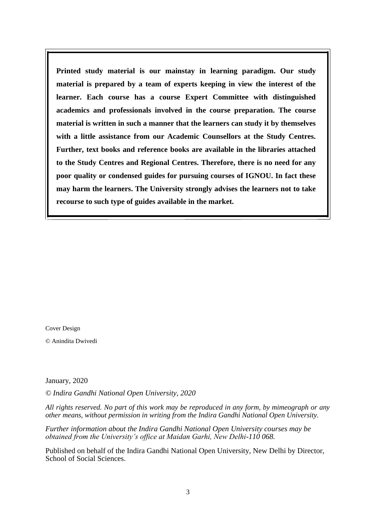**Printed study material is our mainstay in learning paradigm. Our study material is prepared by a team of experts keeping in view the interest of the learner. Each course has a course Expert Committee with distinguished academics and professionals involved in the course preparation. The course material is written in such a manner that the learners can study it by themselves with a little assistance from our Academic Counsellors at the Study Centres. Further, text books and reference books are available in the libraries attached to the Study Centres and Regional Centres. Therefore, there is no need for any poor quality or condensed guides for pursuing courses of IGNOU. In fact these may harm the learners. The University strongly advises the learners not to take recourse to such type of guides available in the market.**

Cover Design

© Anindita Dwivedi

January, 2020

*© Indira Gandhi National Open University, 2020*

*All rights reserved. No part of this work may be reproduced in any form, by mimeograph or any other means, without permission in writing from the Indira Gandhi National Open University.*

*Further information about the Indira Gandhi National Open University courses may be obtained from the University's office at Maidan Garhi, New Delhi-110 068.*

Published on behalf of the Indira Gandhi National Open University, New Delhi by Director, School of Social Sciences.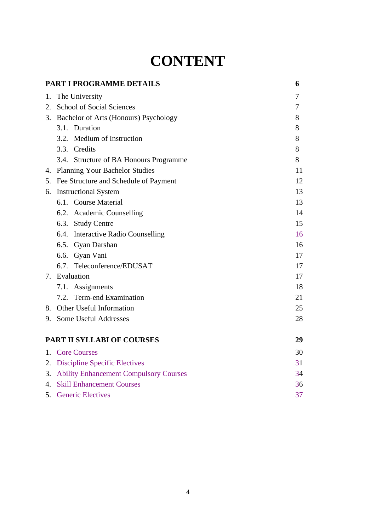# **CONTENT**

<span id="page-3-0"></span>

|    | PART I PROGRAMME DETAILS                  | 6  |
|----|-------------------------------------------|----|
| 1. | The University                            | 7  |
|    | 2. School of Social Sciences              | 7  |
|    | 3. Bachelor of Arts (Honours) Psychology  | 8  |
|    | 3.1. Duration                             | 8  |
|    | 3.2. Medium of Instruction                | 8  |
|    | 3.3. Credits                              | 8  |
|    | 3.4. Structure of BA Honours Programme    | 8  |
|    | 4. Planning Your Bachelor Studies         | 11 |
|    | 5. Fee Structure and Schedule of Payment  | 12 |
|    | 6. Instructional System                   | 13 |
|    | 6.1. Course Material                      | 13 |
|    | 6.2. Academic Counselling                 | 14 |
|    | 6.3. Study Centre                         | 15 |
|    | 6.4. Interactive Radio Counselling        | 16 |
|    | 6.5. Gyan Darshan                         | 16 |
|    | 6.6. Gyan Vani                            | 17 |
|    | 6.7. Teleconference/EDUSAT                | 17 |
|    | 7. Evaluation                             | 17 |
|    | 7.1. Assignments                          | 18 |
|    | 7.2. Term-end Examination                 | 21 |
|    | 8. Other Useful Information               | 25 |
|    | 9. Some Useful Addresses                  | 28 |
|    | <b>PART II SYLLABI OF COURSES</b>         | 29 |
|    | 1. Core Courses                           | 30 |
|    | 2. Discipline Specific Electives          | 31 |
|    | 3. Ability Enhancement Compulsory Courses | 34 |
|    | 4. Skill Enhancement Courses              | 36 |
| 5. | <b>Generic Electives</b>                  | 37 |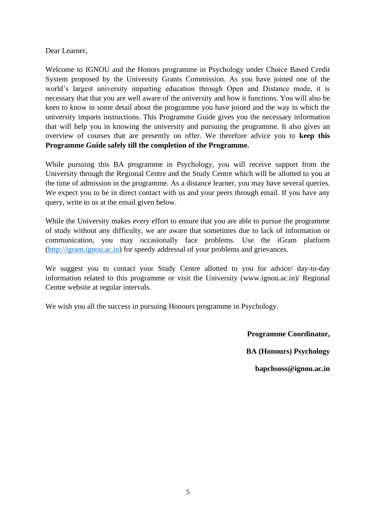Dear Learner,

Welcome to IGNOU and the Honors programme in Psychology under Choice Based Credit System proposed by the University Grants Commission. As you have joined one of the world's largest university imparting education through Open and Distance mode, it is necessary that that you are well aware of the university and how it functions. You will also be keen to know in some detail about the programme you have joined and the way in which the university imparts instructions. This Programme Guide gives you the necessary information that will help you in knowing the university and pursuing the programme. It also gives an overview of courses that are presently on offer. We therefore advice you to **keep this Programme Guide safely till the completion of the Programme.**

While pursuing this BA programme in Psychology, you will receive support from the University through the Regional Centre and the Study Centre which will be allotted to you at the time of admission in the programme. As a distance learner, you may have several queries. We expect you to be in direct contact with us and your peers through email. If you have any query, write to us at the email given below.

While the University makes every effort to ensure that you are able to pursue the programme of study without any difficulty, we are aware that sometimes due to lack of information or communication, you may occasionally face problems. Use the iGram platform [\(http://igram.ignou.ac.in\)](http://igram.ignou.ac.in/) for speedy addressal of your problems and grievances.

We suggest you to contact your Study Centre allotted to you for advice/ day-to-day information related to this programme or visit the University (www.ignou.ac.in)/ Regional Centre website at regular intervals.

We wish you all the success in pursuing Honours programme in Psychology.

**Programme Coordinator,**

**BA (Honours) Psychology**

**bapchsoss@ignou.ac.in**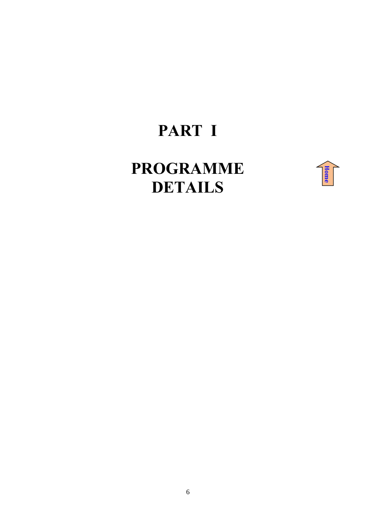# **PART I**

# <span id="page-5-0"></span>**PROGRAMME DETAILS**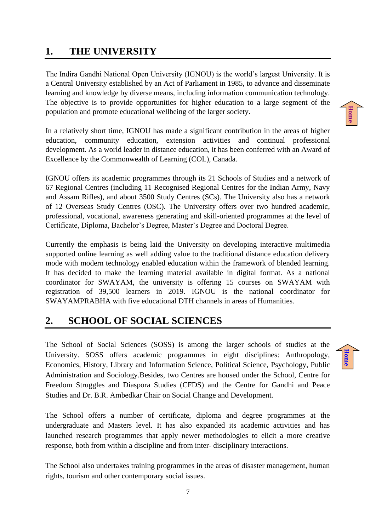# <span id="page-6-0"></span>**1. THE UNIVERSITY**

The Indira Gandhi National Open University (IGNOU) is the world's largest University. It is a Central University established by an Act of Parliament in 1985, to advance and disseminate learning and knowledge by diverse means, including information communication technology. The objective is to provide opportunities for higher education to a large segment of the population and promote educational wellbeing of the larger society.

In a relatively short time, IGNOU has made a significant contribution in the areas of higher education, community education, extension activities and continual professional development. As a world leader in distance education, it has been conferred with an Award of Excellence by the Commonwealth of Learning (COL), Canada.

IGNOU offers its academic programmes through its 21 Schools of Studies and a network of 67 Regional Centres (including 11 Recognised Regional Centres for the Indian Army, Navy and Assam Rifles), and about 3500 Study Centres (SCs). The University also has a network of 12 Overseas Study Centres (OSC). The University offers over two hundred academic, professional, vocational, awareness generating and skill-oriented programmes at the level of Certificate, Diploma, Bachelor's Degree, Master's Degree and Doctoral Degree.

Currently the emphasis is being laid the University on developing interactive multimedia supported online learning as well adding value to the traditional distance education delivery mode with modern technology enabled education within the framework of blended learning. It has decided to make the learning material available in digital format. As a national coordinator for SWAYAM, the university is offering 15 courses on SWAYAM with registration of 39,500 learners in 2019. IGNOU is the national coordinator for SWAYAMPRABHA with five educational DTH channels in areas of Humanities.

# <span id="page-6-1"></span>**2. SCHOOL OF SOCIAL SCIENCES**

The School of Social Sciences (SOSS) is among the larger schools of studies at the University. SOSS offers academic programmes in eight disciplines: Anthropology, Economics, History, Library and Information Science, Political Science, Psychology, Public Administration and Sociology.Besides, two Centres are housed under the School, Centre for Freedom Struggles and Diaspora Studies (CFDS) and the Centre for Gandhi and Peace Studies and Dr. B.R. Ambedkar Chair on Social Change and Development.

The School offers a number of certificate, diploma and degree programmes at the undergraduate and Masters level. It has also expanded its academic activities and has launched research programmes that apply newer methodologies to elicit a more creative response, both from within a discipline and from inter- disciplinary interactions.

The School also undertakes training programmes in the areas of disaster management, human rights, tourism and other contemporary social issues.

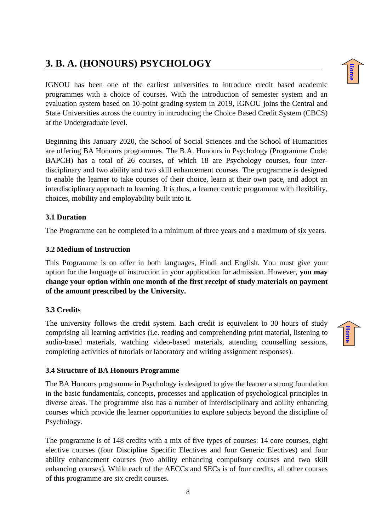# <span id="page-7-0"></span>**3. B. A. (HONOURS) PSYCHOLOGY**

IGNOU has been one of the earliest universities to introduce credit based academic programmes with a choice of courses. With the introduction of semester system and an evaluation system based on 10-point grading system in 2019, IGNOU joins the Central and State Universities across the country in introducing the Choice Based Credit System (CBCS) at the Undergraduate level.

Beginning this January 2020, the School of Social Sciences and the School of Humanities are offering BA Honours programmes. The B.A. Honours in Psychology (Programme Code: BAPCH) has a total of 26 courses, of which 18 are Psychology courses, four interdisciplinary and two ability and two skill enhancement courses. The programme is designed to enable the learner to take courses of their choice, learn at their own pace, and adopt an interdisciplinary approach to learning. It is thus, a learner centric programme with flexibility, choices, mobility and employability built into it.

# <span id="page-7-1"></span>**3.1 Duration**

The Programme can be completed in a minimum of three years and a maximum of six years.

# <span id="page-7-2"></span>**3.2 Medium of Instruction**

This Programme is on offer in both languages, Hindi and English. You must give your option for the language of instruction in your application for admission. However, **you may change your option within one month of the first receipt of study materials on payment of the amount prescribed by the University.** 

# <span id="page-7-3"></span>**3.3 Credits**

The university follows the credit system. Each credit is equivalent to 30 hours of study comprising all learning activities (i.e. reading and comprehending print material, listening to audio-based materials, watching video-based materials, attending counselling sessions, completing activities of tutorials or laboratory and writing assignment responses).

# <span id="page-7-4"></span>**3.4 Structure of BA Honours Programme**

The BA Honours programme in Psychology is designed to give the learner a strong foundation in the basic fundamentals, concepts, processes and application of psychological principles in diverse areas. The programme also has a number of interdisciplinary and ability enhancing courses which provide the learner opportunities to explore subjects beyond the discipline of Psychology.

The programme is of 148 credits with a mix of five types of courses: 14 core courses, eight elective courses (four Discipline Specific Electives and four Generic Electives) and four ability enhancement courses (two ability enhancing compulsory courses and two skill enhancing courses). While each of the AECCs and SECs is of four credits, all other courses of this programme are six credit courses.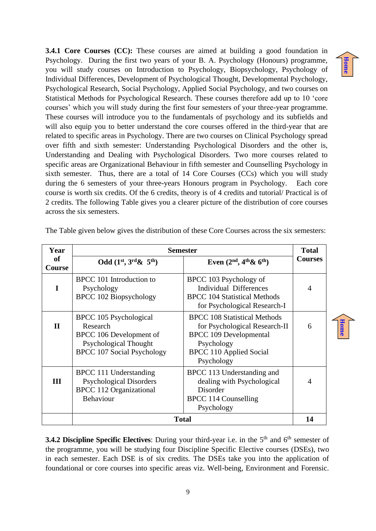**[Home](#page-3-0)**

**[Home](#page-3-0)**

**3.4.1 Core Courses (CC):** These courses are aimed at building a good foundation in Psychology. During the first two years of your B. A. Psychology (Honours) programme, you will study courses on Introduction to Psychology, Biopsychology, Psychology of Individual Differences, Development of Psychological Thought, Developmental Psychology, Psychological Research, Social Psychology, Applied Social Psychology, and two courses on Statistical Methods for Psychological Research. These courses therefore add up to 10 'core courses' which you will study during the first four semesters of your three-year programme. These courses will introduce you to the fundamentals of psychology and its subfields and will also equip you to better understand the core courses offered in the third-year that are related to specific areas in Psychology. There are two courses on Clinical Psychology spread over fifth and sixth semester: Understanding Psychological Disorders and the other is, Understanding and Dealing with Psychological Disorders. Two more courses related to specific areas are Organizational Behaviour in fifth semester and Counselling Psychology in sixth semester. Thus, there are a total of 14 Core Courses (CCs) which you will study during the 6 semesters of your three-years Honours program in Psychology. Each core course is worth six credits. Of the 6 credits, theory is of 4 credits and tutorial/ Practical is of 2 credits. The following Table gives you a clearer picture of the distribution of core courses across the six semesters.

| Year                       | <b>Semester</b>                                                                                                                    |                                                                                                                                                                     |                |
|----------------------------|------------------------------------------------------------------------------------------------------------------------------------|---------------------------------------------------------------------------------------------------------------------------------------------------------------------|----------------|
| <b>of</b><br><b>Course</b> | Odd $(1^{st}, 3^{rd}\& 5^{th})$                                                                                                    | Even $(2nd, 4th \& 6th)$                                                                                                                                            | <b>Courses</b> |
| I                          | BPCC 101 Introduction to<br>Psychology<br><b>BPCC 102 Biopsychology</b>                                                            | BPCC 103 Psychology of<br><b>Individual Differences</b><br><b>BPCC</b> 104 Statistical Methods<br>for Psychological Research-I                                      | 4              |
| $\mathbf{I}$               | BPCC 105 Psychological<br>Research<br>BPCC 106 Development of<br><b>Psychological Thought</b><br><b>BPCC 107 Social Psychology</b> | <b>BPCC 108 Statistical Methods</b><br>for Psychological Research-II<br><b>BPCC 109 Developmental</b><br>Psychology<br><b>BPCC 110 Applied Social</b><br>Psychology | 6              |
| Ш                          | BPCC 111 Understanding<br><b>Psychological Disorders</b><br><b>BPCC 112 Organizational</b><br><b>Behaviour</b>                     | BPCC 113 Understanding and<br>dealing with Psychological<br>Disorder<br>BPCC 114 Counselling<br>Psychology                                                          | 4              |
|                            | <b>Total</b>                                                                                                                       |                                                                                                                                                                     | 14             |

The Table given below gives the distribution of these Core Courses across the six semesters:

**3.4.2 Discipline Specific Electives:** During your third-year i.e. in the 5<sup>th</sup> and 6<sup>th</sup> semester of the programme, you will be studying four Discipline Specific Elective courses (DSEs), two in each semester. Each DSE is of six credits. The DSEs take you into the application of foundational or core courses into specific areas viz. Well-being, Environment and Forensic.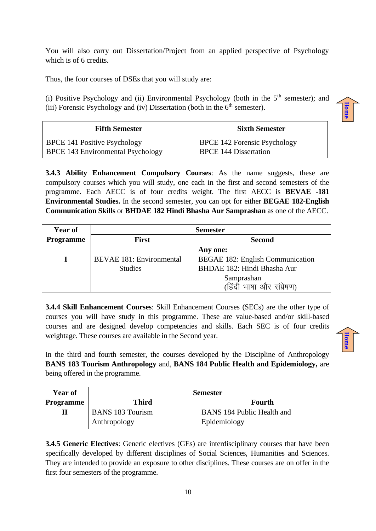You will also carry out Dissertation/Project from an applied perspective of Psychology which is of 6 credits.

Thus, the four courses of DSEs that you will study are:

(i) Positive Psychology and (ii) Environmental Psychology (both in the  $5<sup>th</sup>$  semester); and (iii) Forensic Psychology and (iv) Dissertation (both in the  $6<sup>th</sup>$  semester).

**[Home](#page-3-0)**

**[Home](#page-3-0)**

| <b>Fifth Semester</b>                    | <b>Sixth Semester</b>               |
|------------------------------------------|-------------------------------------|
| <b>BPCE 141 Positive Psychology</b>      | <b>BPCE 142 Forensic Psychology</b> |
| <b>BPCE 143 Environmental Psychology</b> | <b>BPCE 144 Dissertation</b>        |

**3.4.3 Ability Enhancement Compulsory Courses**: As the name suggests, these are compulsory courses which you will study, one each in the first and second semesters of the programme. Each AECC is of four credits weight. The first AECC is **BEVAE -181 Environmental Studies.** In the second semester, you can opt for either **BEGAE 182-English Communication Skills** or **BHDAE 182 Hindi Bhasha Aur Samprashan** as one of the AECC.

| <b>Year of</b>   | <b>Semester</b>                               |                                         |  |  |
|------------------|-----------------------------------------------|-----------------------------------------|--|--|
| <b>Programme</b> | <b>First</b>                                  | <b>Second</b>                           |  |  |
|                  |                                               | Any one:                                |  |  |
|                  | <b>BEVAE 181: Environmental</b>               | <b>BEGAE 182: English Communication</b> |  |  |
|                  | BHDAE 182: Hindi Bhasha Aur<br><b>Studies</b> |                                         |  |  |
|                  |                                               | Samprashan                              |  |  |
|                  |                                               | (हिंदी भाषा और संप्रेषण)                |  |  |

**3.4.4 Skill Enhancement Courses**: Skill Enhancement Courses (SECs) are the other type of courses you will have study in this programme. These are value-based and/or skill-based courses and are designed develop competencies and skills. Each SEC is of four credits weightage. These courses are available in the Second year.

In the third and fourth semester, the courses developed by the Discipline of Anthropology **BANS 183 Tourism Anthropology** and, **BANS 184 Public Health and Epidemiology,** are being offered in the programme.

| <b>Year of</b>   | <b>Semester</b>         |                                   |  |
|------------------|-------------------------|-----------------------------------|--|
| <b>Programme</b> | <b>Third</b>            | Fourth                            |  |
|                  | <b>BANS 183 Tourism</b> | <b>BANS</b> 184 Public Health and |  |
|                  | Anthropology            | Epidemiology                      |  |

**3.4.5 Generic Electives**: Generic electives (GEs) are interdisciplinary courses that have been specifically developed by different disciplines of Social Sciences, Humanities and Sciences. They are intended to provide an exposure to other disciplines. These courses are on offer in the first four semesters of the programme.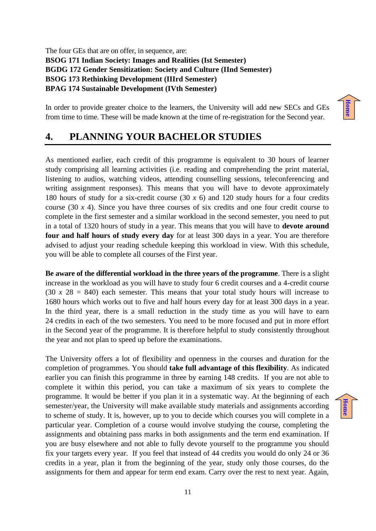The four GEs that are on offer, in sequence, are: **BSOG 171 Indian Society: Images and Realities (Ist Semester) BGDG 172 Gender Sensitization: Society and Culture (IInd Semester) BSOG 173 Rethinking Development (IIIrd Semester) BPAG 174 Sustainable Development (IVth Semester)**

In order to provide greater choice to the learners, the University will add new SECs and GEs from time to time. These will be made known at the time of re-registration for the Second year.

# <span id="page-10-0"></span>**4. PLANNING YOUR BACHELOR STUDIES**

As mentioned earlier, each credit of this programme is equivalent to 30 hours of learner study comprising all learning activities (i.e. reading and comprehending the print material, listening to audios, watching videos, attending counselling sessions, teleconferencing and writing assignment responses). This means that you will have to devote approximately 180 hours of study for a six-credit course (30 *x* 6) and 120 study hours for a four credits course (30 *x* 4). Since you have three courses of six credits and one four credit course to complete in the first semester and a similar workload in the second semester, you need to put in a total of 1320 hours of study in a year. This means that you will have to **devote around four and half hours of study every day** for at least 300 days in a year. You are therefore advised to adjust your reading schedule keeping this workload in view. With this schedule, you will be able to complete all courses of the First year.

**Be aware of the differential workload in the three years of the programme**. There is a slight increase in the workload as you will have to study four 6 credit courses and a 4-credit course  $(30 \times 28 = 840)$  each semester. This means that your total study hours will increase to 1680 hours which works out to five and half hours every day for at least 300 days in a year. In the third year, there is a small reduction in the study time as you will have to earn 24 credits in each of the two semesters. You need to be more focused and put in more effort in the Second year of the programme. It is therefore helpful to study consistently throughout the year and not plan to speed up before the examinations.

The University offers a lot of flexibility and openness in the courses and duration for the completion of programmes. You should **take full advantage of this flexibility**. As indicated earlier you can finish this programme in three by earning 148 credits. If you are not able to complete it within this period, you can take a maximum of six years to complete the programme. It would be better if you plan it in a systematic way. At the beginning of each semester/year, the University will make available study materials and assignments according to scheme of study. It is, however, up to you to decide which courses you will complete in a particular year. Completion of a course would involve studying the course, completing the assignments and obtaining pass marks in both assignments and the term end examination. If you are busy elsewhere and not able to fully devote yourself to the programme you should fix your targets every year. If you feel that instead of 44 credits you would do only 24 or 36 credits in a year, plan it from the beginning of the year, study only those courses, do the assignments for them and appear for term end exam. Carry over the rest to next year. Again,

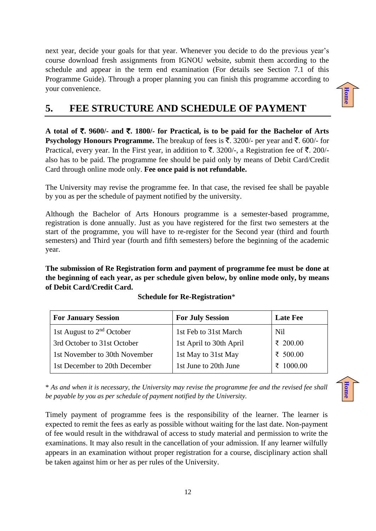next year, decide your goals for that year. Whenever you decide to do the previous year's course download fresh assignments from IGNOU website, submit them according to the schedule and appear in the term end examination (For details see Section 7.1 of this Programme Guide). Through a proper planning you can finish this programme according to your convenience.

<span id="page-11-0"></span>

**A total of** `**. 9600/- and** `**. 1800/- for Practical, is to be paid for the Bachelor of Arts Psychology Honours Programme.** The breakup of fees is  $\bar{\tau}$ . 3200/- per year and  $\bar{\tau}$ . 600/- for Practical, every year. In the First year, in addition to  $\bar{\tau}$ . 3200/-, a Registration fee of  $\bar{\tau}$ . 200/also has to be paid. The programme fee should be paid only by means of Debit Card/Credit Card through online mode only. **Fee once paid is not refundable.**

The University may revise the programme fee. In that case, the revised fee shall be payable by you as per the schedule of payment notified by the university.

Although the Bachelor of Arts Honours programme is a semester-based programme, registration is done annually. Just as you have registered for the first two semesters at the start of the programme, you will have to re-register for the Second year (third and fourth semesters) and Third year (fourth and fifth semesters) before the beginning of the academic year.

**The submission of Re Registration form and payment of programme fee must be done at the beginning of each year, as per schedule given below, by online mode only, by means of Debit Card/Credit Card.**

| <b>For July Session</b><br><b>For January Session</b> |                               |                         | <b>Late Fee</b> |
|-------------------------------------------------------|-------------------------------|-------------------------|-----------------|
|                                                       | 1st August to $2nd$ October   | 1st Feb to 31st March   | Nil             |
|                                                       | 3rd October to 31st October   | 1st April to 30th April | ₹ 200.00        |
|                                                       | 1st November to 30th November | 1st May to 31st May     | ₹ $500.00$      |
|                                                       | 1st December to 20th December | 1st June to 20th June   | 1000.00         |

**Schedule for Re-Registration**\*

\* *As and when it is necessary, the University may revise the programme fee and the revised fee shall be payable by you as per schedule of payment notified by the University.*

Timely payment of programme fees is the responsibility of the learner. The learner is expected to remit the fees as early as possible without waiting for the last date. Non-payment of fee would result in the withdrawal of access to study material and permission to write the examinations. It may also result in the cancellation of your admission. If any learner wilfully appears in an examination without proper registration for a course, disciplinary action shall be taken against him or her as per rules of the University.



**[Home](#page-3-0)**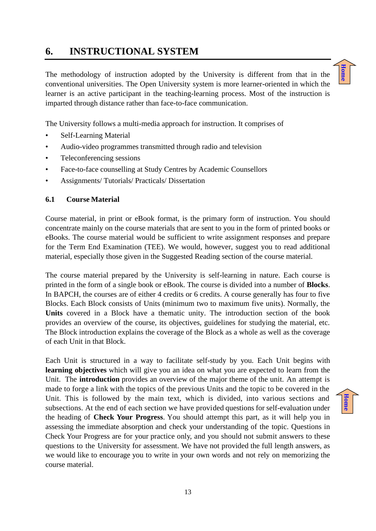# <span id="page-12-0"></span>**6. INSTRUCTIONAL SYSTEM**

The methodology of instruction adopted by the University is different from that in the conventional universities. The Open University system is more learner-oriented in which the learner is an active participant in the teaching-learning process. Most of the instruction is imparted through distance rather than face-to-face communication.



The University follows a multi-media approach for instruction. It comprises of

- Self-Learning Material
- Audio-video programmes transmitted through radio and television
- Teleconferencing sessions
- Face-to-face counselling at Study Centres by Academic Counsellors
- Assignments/ Tutorials/ Practicals/ Dissertation

## <span id="page-12-1"></span>**6.1 Course Material**

Course material, in print or eBook format, is the primary form of instruction. You should concentrate mainly on the course materials that are sent to you in the form of printed books or eBooks. The course material would be sufficient to write assignment responses and prepare for the Term End Examination (TEE). We would, however, suggest you to read additional material, especially those given in the Suggested Reading section of the course material.

The course material prepared by the University is self-learning in nature. Each course is printed in the form of a single book or eBook. The course is divided into a number of **Blocks**. In BAPCH, the courses are of either 4 credits or 6 credits. A course generally has four to five Blocks. Each Block consists of Units (minimum two to maximum five units). Normally, the **Units** covered in a Block have a thematic unity. The introduction section of the book provides an overview of the course, its objectives, guidelines for studying the material, etc. The Block introduction explains the coverage of the Block as a whole as well as the coverage of each Unit in that Block.

Each Unit is structured in a way to facilitate self-study by you. Each Unit begins with **learning objectives** which will give you an idea on what you are expected to learn from the Unit. The **introduction** provides an overview of the major theme of the unit. An attempt is made to forge a link with the topics of the previous Units and the topic to be covered in the Unit. This is followed by the main text, which is divided, into various sections and subsections. At the end of each section we have provided questions for self-evaluation under the heading of **Check Your Progress**. You should attempt this part, as it will help you in assessing the immediate absorption and check your understanding of the topic. Questions in Check Your Progress are for your practice only, and you should not submit answers to these questions to the University for assessment. We have not provided the full length answers, as we would like to encourage you to write in your own words and not rely on memorizing the course material.

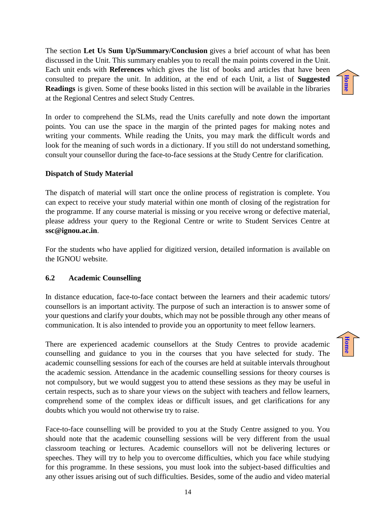The section **Let Us Sum Up/Summary/Conclusion** gives a brief account of what has been discussed in the Unit. This summary enables you to recall the main points covered in the Unit. Each unit ends with **References** which gives the list of books and articles that have been consulted to prepare the unit. In addition, at the end of each Unit, a list of **Suggested Readings** is given. Some of these books listed in this section will be available in the libraries at the Regional Centres and select Study Centres.

In order to comprehend the SLMs, read the Units carefully and note down the important points. You can use the space in the margin of the printed pages for making notes and writing your comments. While reading the Units, you may mark the difficult words and look for the meaning of such words in a dictionary. If you still do not understand something, consult your counsellor during the face-to-face sessions at the Study Centre for clarification.

## **Dispatch of Study Material**

The dispatch of material will start once the online process of registration is complete. You can expect to receive your study material within one month of closing of the registration for the programme. If any course material is missing or you receive wrong or defective material, please address your query to the Regional Centre or write to Student Services Centre at **ssc@ignou.ac.in**.

For the students who have applied for digitized version, detailed information is available on the IGNOU website.

### <span id="page-13-0"></span>**6.2 Academic Counselling**

In distance education, face-to-face contact between the learners and their academic tutors/ counsellors is an important activity. The purpose of such an interaction is to answer some of your questions and clarify your doubts, which may not be possible through any other means of communication. It is also intended to provide you an opportunity to meet fellow learners.

There are experienced academic counsellors at the Study Centres to provide academic counselling and guidance to you in the courses that you have selected for study. The academic counselling sessions for each of the courses are held at suitable intervals throughout the academic session. Attendance in the academic counselling sessions for theory courses is not compulsory, but we would suggest you to attend these sessions as they may be useful in certain respects, such as to share your views on the subject with teachers and fellow learners, comprehend some of the complex ideas or difficult issues, and get clarifications for any doubts which you would not otherwise try to raise.

Face-to-face counselling will be provided to you at the Study Centre assigned to you. You should note that the academic counselling sessions will be very different from the usual classroom teaching or lectures. Academic counsellors will not be delivering lectures or speeches. They will try to help you to overcome difficulties, which you face while studying for this programme. In these sessions, you must look into the subject-based difficulties and any other issues arising out of such difficulties. Besides, some of the audio and video material

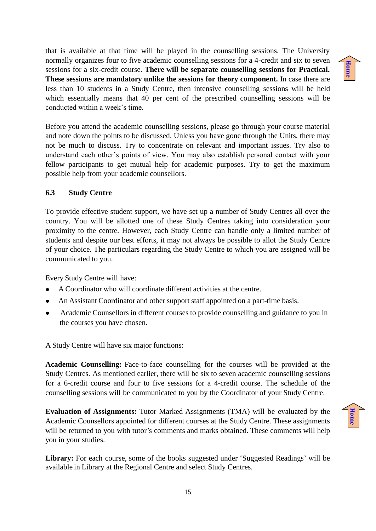that is available at that time will be played in the counselling sessions. The University normally organizes four to five academic counselling sessions for a 4-credit and six to seven sessions for a six-credit course. **There will be separate counselling sessions for Practical. These sessions are mandatory unlike the sessions for theory component.** In case there are less than 10 students in a Study Centre, then intensive counselling sessions will be held which essentially means that 40 per cent of the prescribed counselling sessions will be conducted within a week's time.

Before you attend the academic counselling sessions, please go through your course material and note down the points to be discussed. Unless you have gone through the Units, there may not be much to discuss. Try to concentrate on relevant and important issues. Try also to understand each other's points of view. You may also establish personal contact with your fellow participants to get mutual help for academic purposes. Try to get the maximum possible help from your academic counsellors.

# <span id="page-14-0"></span>**6.3 Study Centre**

To provide effective student support, we have set up a number of Study Centres all over the country. You will be allotted one of these Study Centres taking into consideration your proximity to the centre. However, each Study Centre can handle only a limited number of students and despite our best efforts, it may not always be possible to allot the Study Centre of your choice. The particulars regarding the Study Centre to which you are assigned will be communicated to you.

Every Study Centre will have:

- A Coordinator who will coordinate different activities at the centre.
- An Assistant Coordinator and other support staff appointed on a part-time basis.
- Academic Counsellors in different courses to provide counselling and guidance to you in the courses you have chosen.

A Study Centre will have six major functions:

**Academic Counselling:** Face-to-face counselling for the courses will be provided at the Study Centres. As mentioned earlier, there will be six to seven academic counselling sessions for a 6-credit course and four to five sessions for a 4-credit course. The schedule of the counselling sessions will be communicated to you by the Coordinator of your Study Centre.

**Evaluation of Assignments:** Tutor Marked Assignments (TMA) will be evaluated by the Academic Counsellors appointed for different courses at the Study Centre. These assignments will be returned to you with tutor's comments and marks obtained. These comments will help you in your studies.

**Library:** For each course, some of the books suggested under 'Suggested Readings' will be available in Library at the Regional Centre and select Study Centres.

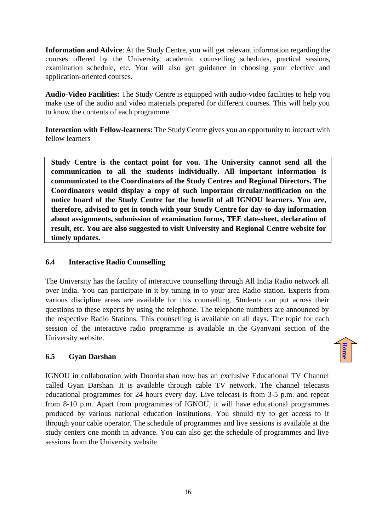**Information and Advice**: At the Study Centre, you will get relevant information regarding the courses offered by the University, academic counselling schedules, practical sessions, examination schedule, etc. You will also get guidance in choosing your elective and application-oriented courses.

**Audio-Video Facilities:** The Study Centre is equipped with audio-video facilities to help you make use of the audio and video materials prepared for different courses. This will help you to know the contents of each programme.

**Interaction with Fellow-learners:** The Study Centre gives you an opportunity to interact with fellow learners

 **Study Centre is the contact point for you. The University cannot send all the communication to all the students individually. All important information is communicated to the Coordinators of the Study Centres and Regional Directors. The Coordinators would display a copy of such important circular/notification on the notice board of the Study Centre for the benefit of all IGNOU learners. You are, therefore, advised to get in touch with your Study Centre for day-to-day information about assignments, submission of examination forms, TEE date-sheet, declaration of result, etc. You are also suggested to visit University and Regional Centre website for timely updates.**

# <span id="page-15-0"></span>**6.4 Interactive Radio Counselling**

The University has the facility of interactive counselling through All India Radio network all over India. You can participate in it by tuning in to your area Radio station. Experts from various discipline areas are available for this counselling. Students can put across their questions to these experts by using the telephone. The telephone numbers are announced by the respective Radio Stations. This counselling is available on all days. The topic for each session of the interactive radio programme is available in the Gyanvani section of the University website.

**[Home](#page-3-0)**

# <span id="page-15-1"></span>**6.5 Gyan Darshan**

<span id="page-15-2"></span>IGNOU in collaboration with Doordarshan now has an exclusive Educational TV Channel called Gyan Darshan. It is available through cable TV network. The channel telecasts educational programmes for 24 hours every day. Live telecast is from 3-5 p.m. and repeat from 8-10 p.m. Apart from programmes of IGNOU, it will have educational programmes produced by various national education institutions. You should try to get access to it through your cable operator. The schedule of programmes and live sessions is available at the study centers one month in advance. You can also get the schedule of programmes and live sessions from the University website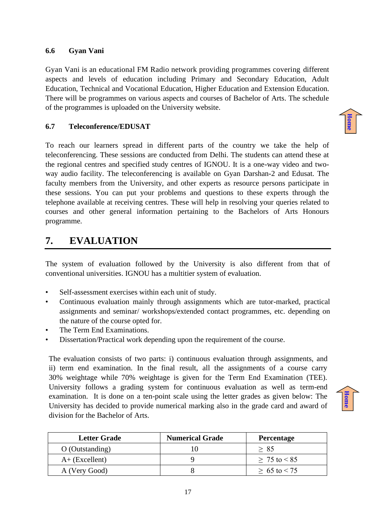### **6.6 Gyan Vani**

Gyan Vani is an educational FM Radio network providing programmes covering different aspects and levels of education including Primary and Secondary Education, Adult Education, Technical and Vocational Education, Higher Education and Extension Education. There will be programmes on various aspects and courses of Bachelor of Arts. The schedule of the programmes is uploaded on the University website.

## <span id="page-16-0"></span>**6.7 Teleconference/EDUSAT**

To reach our learners spread in different parts of the country we take the help of teleconferencing. These sessions are conducted from Delhi. The students can attend these at the regional centres and specified study centres of IGNOU. It is a one-way video and twoway audio facility. The teleconferencing is available on Gyan Darshan-2 and Edusat. The faculty members from the University, and other experts as resource persons participate in these sessions. You can put your problems and questions to these experts through the telephone available at receiving centres. These will help in resolving your queries related to courses and other general information pertaining to the Bachelors of Arts Honours programme.

# <span id="page-16-1"></span>**7. EVALUATION**

The system of evaluation followed by the University is also different from that of conventional universities. IGNOU has a multitier system of evaluation.

- Self-assessment exercises within each unit of study.
- Continuous evaluation mainly through assignments which are tutor-marked, practical assignments and seminar/ workshops/extended contact programmes, etc. depending on the nature of the course opted for.
- The Term End Examinations.
- Dissertation/Practical work depending upon the requirement of the course.

The evaluation consists of two parts: i) continuous evaluation through assignments, and ii) term end examination. In the final result, all the assignments of a course carry 30% weightage while 70% weightage is given for the Term End Examination (TEE). University follows a grading system for continuous evaluation as well as term-end examination. It is done on a ten-point scale using the letter grades as given below: The University has decided to provide numerical marking also in the grade card and award of division for the Bachelor of Arts.

| <b>Letter Grade</b> | <b>Numerical Grade</b> | <b>Percentage</b> |
|---------------------|------------------------|-------------------|
| $O$ (Outstanding)   |                        | > 85              |
| $A+$ (Excellent)    |                        | $> 75$ to $< 85$  |
| A (Very Good)       |                        | $> 65$ to $< 75$  |

**[Home](#page-3-0)**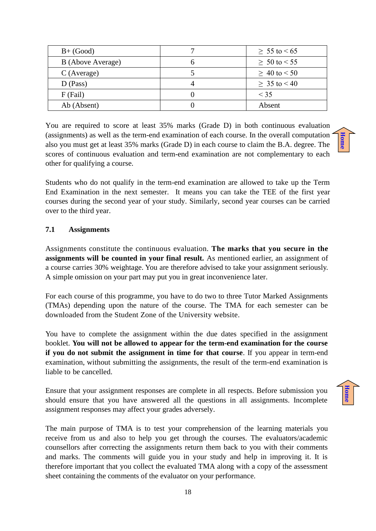| $B+ (Good)$       | $\geq 55$ to $\leq 65$ |
|-------------------|------------------------|
| B (Above Average) | $\geq 50$ to $\leq 55$ |
| $C$ (Average)     | $\geq 40$ to $\leq 50$ |
| $D$ (Pass)        | $\geq 35$ to $\leq 40$ |
| $F$ (Fail)        | $\leq$ 35              |
| Ab (Absent)       | Absent                 |

You are required to score at least 35% marks (Grade D) in both continuous evaluation (assignments) as well as the term-end examination of each course. In the overall computation also you must get at least 35% marks (Grade D) in each course to claim the B.A. degree. The scores of continuous evaluation and term-end examination are not complementary to each other for qualifying a course.

Students who do not qualify in the term-end examination are allowed to take up the Term End Examination in the next semester. It means you can take the TEE of the first year courses during the second year of your study. Similarly, second year courses can be carried over to the third year.

## <span id="page-17-0"></span>**7.1 Assignments**

Assignments constitute the continuous evaluation. **The marks that you secure in the assignments will be counted in your final result.** As mentioned earlier, an assignment of a course carries 30% weightage. You are therefore advised to take your assignment seriously. A simple omission on your part may put you in great inconvenience later.

For each course of this programme, you have to do two to three Tutor Marked Assignments (TMAs) depending upon the nature of the course. The TMA for each semester can be downloaded from the Student Zone of the University website.

You have to complete the assignment within the due dates specified in the assignment booklet. **You will not be allowed to appear for the term-end examination for the course if you do not submit the assignment in time for that course**. If you appear in term-end examination, without submitting the assignments, the result of the term-end examination is liable to be cancelled.

Ensure that your assignment responses are complete in all respects. Before submission you should ensure that you have answered all the questions in all assignments. Incomplete assignment responses may affect your grades adversely.

The main purpose of TMA is to test your comprehension of the learning materials you receive from us and also to help you get through the courses. The evaluators/academic counsellors after correcting the assignments return them back to you with their comments and marks. The comments will guide you in your study and help in improving it. It is therefore important that you collect the evaluated TMA along with a copy of the assessment sheet containing the comments of the evaluator on your performance.

**[Home](#page-3-0)**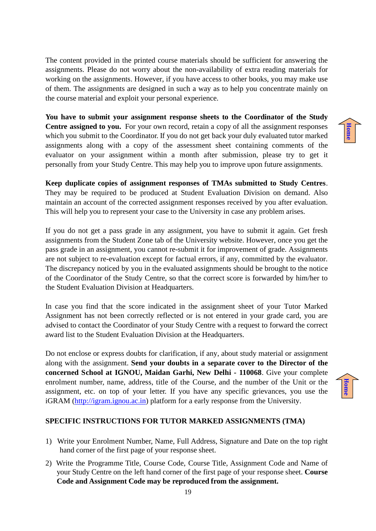The content provided in the printed course materials should be sufficient for answering the assignments. Please do not worry about the non-availability of extra reading materials for working on the assignments. However, if you have access to other books, you may make use of them. The assignments are designed in such a way as to help you concentrate mainly on the course material and exploit your personal experience.

**You have to submit your assignment response sheets to the Coordinator of the Study Centre assigned to you.** For your own record, retain a copy of all the assignment responses which you submit to the Coordinator. If you do not get back your duly evaluated tutor marked assignments along with a copy of the assessment sheet containing comments of the evaluator on your assignment within a month after submission, please try to get it personally from your Study Centre. This may help you to improve upon future assignments.

**Keep duplicate copies of assignment responses of TMAs submitted to Study Centres**. They may be required to be produced at Student Evaluation Division on demand. Also maintain an account of the corrected assignment responses received by you after evaluation. This will help you to represent your case to the University in case any problem arises.

If you do not get a pass grade in any assignment, you have to submit it again. Get fresh assignments from the Student Zone tab of the University website. However, once you get the pass grade in an assignment, you cannot re-submit it for improvement of grade. Assignments are not subject to re-evaluation except for factual errors, if any, committed by the evaluator. The discrepancy noticed by you in the evaluated assignments should be brought to the notice of the Coordinator of the Study Centre, so that the correct score is forwarded by him/her to the Student Evaluation Division at Headquarters.

In case you find that the score indicated in the assignment sheet of your Tutor Marked Assignment has not been correctly reflected or is not entered in your grade card, you are advised to contact the Coordinator of your Study Centre with a request to forward the correct award list to the Student Evaluation Division at the Headquarters.

Do not enclose or express doubts for clarification, if any, about study material or assignment along with the assignment. **Send your doubts in a separate cover to the Director of the concerned School at IGNOU, Maidan Garhi, New Delhi - 110068**. Give your complete enrolment number, name, address, title of the Course, and the number of the Unit or the assignment, etc. on top of your letter. If you have any specific grievances, you use the iGRAM [\(http://igram.ignou.ac.in\)](http://igram.ignou.ac.in/) platform for a early response from the University.

# **[Home](#page-3-0)**

**[Home](#page-3-0)**

# **SPECIFIC INSTRUCTIONS FOR TUTOR MARKED ASSIGNMENTS (TMA)**

- 1) Write your Enrolment Number, Name, Full Address, Signature and Date on the top right hand corner of the first page of your response sheet.
- 2) Write the Programme Title, Course Code, Course Title, Assignment Code and Name of your Study Centre on the left hand corner of the first page of your response sheet. **Course Code and Assignment Code may be reproduced from the assignment.**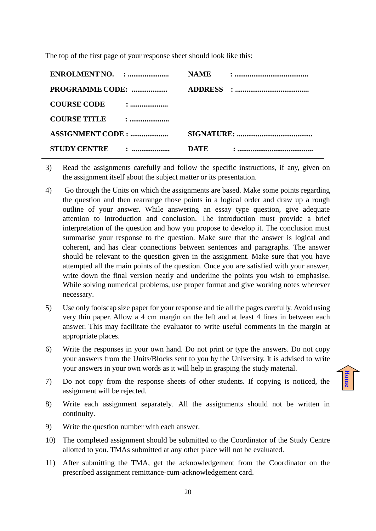The top of the first page of your response sheet should look like this:

|                                       | <b>NAME</b> |  |
|---------------------------------------|-------------|--|
| PROGRAMME CODE:                       |             |  |
| <b>COURSE CODE</b><br>$\ddot{\cdot}$  |             |  |
| <b>COURSE TITLE</b><br>$\ddot{\cdot}$ |             |  |
| <b>ASSIGNMENT CODE : </b>             |             |  |
| <b>STUDY CENTRE</b><br>.<br>.         | DATE        |  |

- 3) Read the assignments carefully and follow the specific instructions, if any, given on the assignment itself about the subject matter or its presentation.
- 4) Go through the Units on which the assignments are based. Make some points regarding the question and then rearrange those points in a logical order and draw up a rough outline of your answer. While answering an essay type question, give adequate attention to introduction and conclusion. The introduction must provide a brief interpretation of the question and how you propose to develop it. The conclusion must summarise your response to the question. Make sure that the answer is logical and coherent, and has clear connections between sentences and paragraphs. The answer should be relevant to the question given in the assignment. Make sure that you have attempted all the main points of the question. Once you are satisfied with your answer, write down the final version neatly and underline the points you wish to emphasise. While solving numerical problems, use proper format and give working notes wherever necessary.
- 5) Use only foolscap size paper for your response and tie all the pages carefully. Avoid using very thin paper. Allow a 4 cm margin on the left and at least 4 lines in between each answer. This may facilitate the evaluator to write useful comments in the margin at appropriate places.
- 6) Write the responses in your own hand. Do not print or type the answers. Do not copy your answers from the Units/Blocks sent to you by the University. It is advised to write your answers in your own words as it will help in grasping the study material.
- 7) Do not copy from the response sheets of other students. If copying is noticed, the assignment will be rejected.

- 8) Write each assignment separately. All the assignments should not be written in continuity.
- 9) Write the question number with each answer.
- 10) The completed assignment should be submitted to the Coordinator of the Study Centre allotted to you. TMAs submitted at any other place will not be evaluated.
- 11) After submitting the TMA, get the acknowledgement from the Coordinator on the prescribed assignment remittance-cum-acknowledgement card.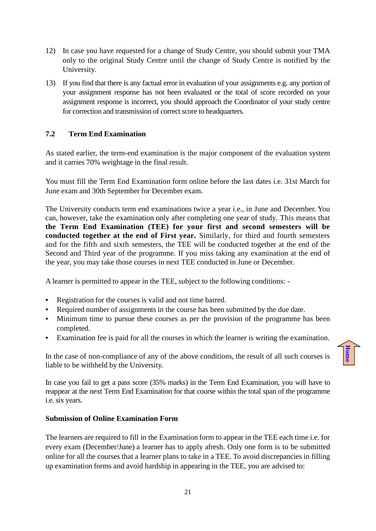- 12) In case you have requested for a change of Study Centre, you should submit your TMA only to the original Study Centre until the change of Study Centre is notified by the University.
- 13) If you find that there is any factual error in evaluation of your assignments e.g. any portion of your assignment response has not been evaluated or the total of score recorded on your assignment response is incorrect, you should approach the Coordinator of your study centre for correction and transmission of correct score to headquarters.

# <span id="page-20-0"></span>**7.2 Term End Examination**

As stated earlier, the term-end examination is the major component of the evaluation system and it carries 70% weightage in the final result.

You must fill the Term End Examination form online before the last dates i.e. 31st March for June exam and 30th September for December exam.

The University conducts term end examinations twice a year i.e., in June and December. You can, however, take the examination only after completing one year of study. This means that **the Term End Examination (TEE) for your first and second semesters will be conducted together at the end of First year.** Similarly, for third and fourth semesters and for the fifth and sixth semesters, the TEE will be conducted together at the end of the Second and Third year of the programme. If you miss taking any examination at the end of the year, you may take those courses in next TEE conducted in June or December.

A learner is permitted to appear in the TEE, subject to the following conditions: -

- Registration for the courses is valid and not time barred.
- Required number of assignments in the course has been submitted by the due date.
- Minimum time to pursue these courses as per the provision of the programme has been completed.
- Examination fee is paid for all the courses in which the learner is writing the examination.

In the case of non-compliance of any of the above conditions, the result of all such courses is liable to be withheld by the University.

**[Home](#page-3-0)**

In case you fail to get a pass score (35% marks) in the Term End Examination, you will have to reappear at the next Term End Examination for that course within the total span of the programme i.e. six years.

# **Submission of Online Examination Form**

The learners are required to fill in the Examination form to appear in the TEE each time i.e. for every exam (December/June) a learner has to apply afresh. Only one form is to be submitted online for all the courses that a learner plans to take in a TEE. To avoid discrepancies in filling up examination forms and avoid hardship in appearing in the TEE, you are advised to: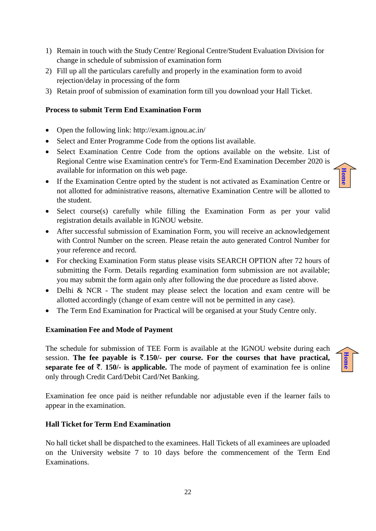- 1) Remain in touch with the Study Centre/ Regional Centre/Student Evaluation Division for change in schedule of submission of examination form
- 2) Fill up all the particulars carefully and properly in the examination form to avoid rejection/delay in processing of the form
- 3) Retain proof of submission of examination form till you download your Hall Ticket.

# **Process to submit Term End Examination Form**

- Open the following link: http://exam.ignou.ac.in/
- Select and Enter Programme Code from the options list available.
- Select Examination Centre Code from the options available on the website. List of Regional Centre wise Examination centre's for Term-End Examination December 2020 is available for information on this web page.
- If the Examination Centre opted by the student is not activated as Examination Centre or not allotted for administrative reasons, alternative Examination Centre will be allotted to the student.
- Select course(s) carefully while filling the Examination Form as per your valid registration details available in IGNOU website.
- After successful submission of Examination Form, you will receive an acknowledgement with Control Number on the screen. Please retain the auto generated Control Number for your reference and record.
- For checking Examination Form status please visits SEARCH OPTION after 72 hours of submitting the Form. Details regarding examination form submission are not available; you may submit the form again only after following the due procedure as listed above.
- Delhi & NCR The student may please select the location and exam centre will be allotted accordingly (change of exam centre will not be permitted in any case).
- The Term End Examination for Practical will be organised at your Study Centre only.

# **Examination Fee and Mode of Payment**

The schedule for submission of TEE Form is available at the IGNOU website during each session. The fee payable is  $\overline{5}$ .150/- per course. For the courses that have practical, **separate fee of**  $\bar{\tau}$ **. 150/-** is applicable. The mode of payment of examination fee is online only through Credit Card/Debit Card/Net Banking.

Examination fee once paid is neither refundable nor adjustable even if the learner fails to appear in the examination.

# **Hall Ticket for Term End Examination**

No hall ticket shall be dispatched to the examinees. Hall Tickets of all examinees are uploaded on the University website 7 to 10 days before the commencement of the Term End Examinations.

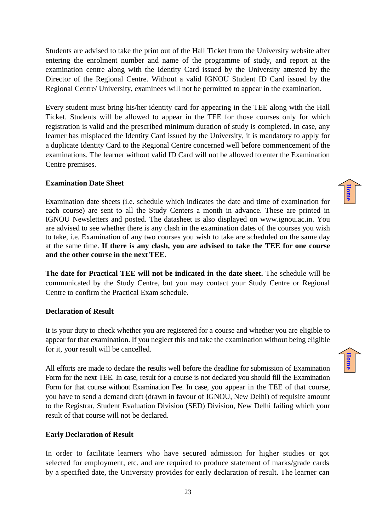Students are advised to take the print out of the Hall Ticket from the University website after entering the enrolment number and name of the programme of study, and report at the examination centre along with the Identity Card issued by the University attested by the Director of the Regional Centre. Without a valid IGNOU Student ID Card issued by the Regional Centre/ University, examinees will not be permitted to appear in the examination.

Every student must bring his/her identity card for appearing in the TEE along with the Hall Ticket. Students will be allowed to appear in the TEE for those courses only for which registration is valid and the prescribed minimum duration of study is completed. In case, any learner has misplaced the Identity Card issued by the University, it is mandatory to apply for a duplicate Identity Card to the Regional Centre concerned well before commencement of the examinations. The learner without valid ID Card will not be allowed to enter the Examination Centre premises.

# **Examination Date Sheet**

Examination date sheets (i.e. schedule which indicates the date and time of examination for each course) are sent to all the Study Centers a month in advance. These are printed in IGNOU Newsletters and posted. The datasheet is also displayed on [www.ignou.ac.in](http://www.ignou.ac.in/). You are advised to see whether there is any clash in the examination dates of the courses you wish to take, i.e. Examination of any two courses you wish to take are scheduled on the same day at the same time. **If there is any clash, you are advised to take the TEE for one course and the other course in the next TEE.**

**The date for Practical TEE will not be indicated in the date sheet.** The schedule will be communicated by the Study Centre, but you may contact your Study Centre or Regional Centre to confirm the Practical Exam schedule.

# **Declaration of Result**

It is your duty to check whether you are registered for a course and whether you are eligible to appear for that examination. If you neglect this and take the examination without being eligible for it, your result will be cancelled.

All efforts are made to declare the results well before the deadline for submission of Examination Form for the next TEE. In case, result for a course is not declared you should fill the Examination Form for that course without Examination Fee. In case, you appear in the TEE of that course, you have to send a demand draft (drawn in favour of IGNOU, New Delhi) of requisite amount to the Registrar, Student Evaluation Division (SED) Division, New Delhi failing which your result of that course will not be declared.

# **Early Declaration of Result**

In order to facilitate learners who have secured admission for higher studies or got selected for employment, etc. and are required to produce statement of marks/grade cards by a specified date, the University provides for early declaration of result. The learner can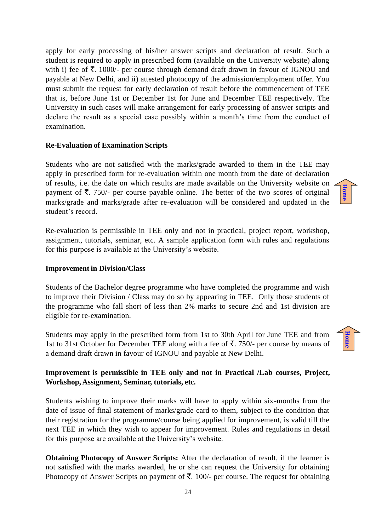apply for early processing of his/her answer scripts and declaration of result. Such a student is required to apply in prescribed form (available on the University website) along with i) fee of  $\overline{\mathfrak{F}}$ . 1000/- per course through demand draft drawn in favour of IGNOU and payable at New Delhi, and ii) attested photocopy of the admission/employment offer. You must submit the request for early declaration of result before the commencement of TEE that is, before June 1st or December 1st for June and December TEE respectively. The University in such cases will make arrangement for early processing of answer scripts and declare the result as a special case possibly within a month's time from the conduct of examination.

# **Re-Evaluation of Examination Scripts**

Students who are not satisfied with the marks/grade awarded to them in the TEE may apply in prescribed form for re-evaluation within one month from the date of declaration of results, i.e. the date on which results are made available on the University website on payment of  $\bar{\tau}$ . 750/- per course payable online. The better of the two scores of original marks/grade and marks/grade after re-evaluation will be considered and updated in the student's record.

Re-evaluation is permissible in TEE only and not in practical, project report, workshop, assignment, tutorials, seminar, etc. A sample application form with rules and regulations for this purpose is available at the University's website.

# **Improvement in Division/Class**

Students of the Bachelor degree programme who have completed the programme and wish to improve their Division / Class may do so by appearing in TEE. Only those students of the programme who fall short of less than 2% marks to secure 2nd and 1st division are eligible for re-examination.

Students may apply in the prescribed form from 1st to 30th April for June TEE and from 1st to 31st October for December TEE along with a fee of  $\bar{\mathfrak{F}}$ . 750/- per course by means of a demand draft drawn in favour of IGNOU and payable at New Delhi.

# **Improvement is permissible in TEE only and not in Practical /Lab courses, Project, Workshop, Assignment, Seminar, tutorials, etc.**

Students wishing to improve their marks will have to apply within six-months from the date of issue of final statement of marks/grade card to them, subject to the condition that their registration for the programme/course being applied for improvement, is valid till the next TEE in which they wish to appear for improvement. Rules and regulations in detail for this purpose are available at the University's website.

**Obtaining Photocopy of Answer Scripts:** After the declaration of result, if the learner is not satisfied with the marks awarded, he or she can request the University for obtaining Photocopy of Answer Scripts on payment of  $\bar{\tau}$ . 100/- per course. The request for obtaining

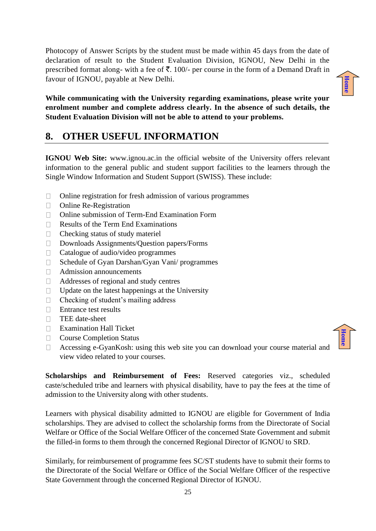Photocopy of Answer Scripts by the student must be made within 45 days from the date of declaration of result to the Student Evaluation Division, IGNOU, New Delhi in the prescribed format along- with a fee of  $\bar{\mathbf{z}}$ . 100/- per course in the form of a Demand Draft in favour of IGNOU, payable at New Delhi.

**While communicating with the University regarding examinations, please write your enrolment number and complete address clearly. In the absence of such details, the Student Evaluation Division will not be able to attend to your problems.**

# <span id="page-24-0"></span>**8. OTHER USEFUL INFORMATION**

**IGNOU Web Site:** www.ignou.ac.in the official website of the University offers relevant information to the general public and student support facilities to the learners through the Single Window Information and Student Support (SWISS). These include:

- $\Box$ Online registration for fresh admission of various programmes
- $\Box$ Online Re-Registration
- Online submission of Term-End Examination Form  $\Box$
- $\Box$ Results of the Term End Examinations
- $\Box$ Checking status of study materiel
- $\Box$ Downloads Assignments/Question papers/Forms
- $\Box$ Catalogue of audio/video programmes
- Schedule of Gyan Darshan/Gyan Vani/ programmes  $\Box$
- $\Box$ Admission announcements
- Addresses of regional and study centres  $\Box$
- Update on the latest happenings at the University  $\Box$
- $\Box$ Checking of student's mailing address
- Entrance test results  $\Box$
- TEE date-sheet  $\Box$
- **Examination Hall Ticket**
- Course Completion Status  $\Box$
- Accessing e-GyanKosh: using this web site you can download your course material and  $\Box$ view video related to your courses.

**Scholarships and Reimbursement of Fees:** Reserved categories viz., scheduled caste/scheduled tribe and learners with physical disability, have to pay the fees at the time of admission to the University along with other students.

Learners with physical disability admitted to IGNOU are eligible for Government of India scholarships. They are advised to collect the scholarship forms from the Directorate of Social Welfare or Office of the Social Welfare Officer of the concerned State Government and submit the filled-in forms to them through the concerned Regional Director of IGNOU to SRD.

Similarly, for reimbursement of programme fees SC/ST students have to submit their forms to the Directorate of the Social Welfare or Office of the Social Welfare Officer of the respective State Government through the concerned Regional Director of IGNOU.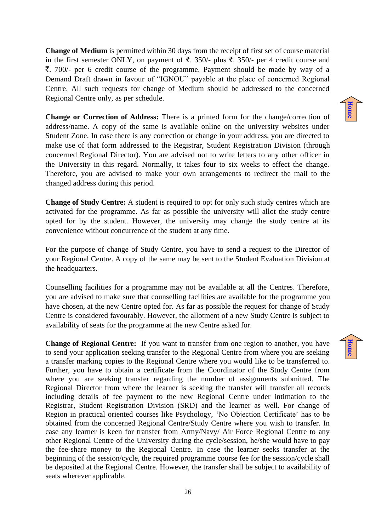**Change of Medium** is permitted within 30 days from the receipt of first set of course material in the first semester ONLY, on payment of  $\overline{\xi}$ . 350/- plus  $\overline{\xi}$ . 350/- per 4 credit course and  $\bar{\xi}$ . 700/- per 6 credit course of the programme. Payment should be made by way of a Demand Draft drawn in favour of "IGNOU" payable at the place of concerned Regional Centre. All such requests for change of Medium should be addressed to the concerned Regional Centre only, as per schedule.

**Change or Correction of Address:** There is a printed form for the change/correction of address/name. A copy of the same is available online on the university websites under Student Zone. In case there is any correction or change in your address, you are directed to make use of that form addressed to the Registrar, Student Registration Division (through concerned Regional Director). You are advised not to write letters to any other officer in the University in this regard. Normally, it takes four to six weeks to effect the change. Therefore, you are advised to make your own arrangements to redirect the mail to the changed address during this period.

**Change of Study Centre:** A student is required to opt for only such study centres which are activated for the programme. As far as possible the university will allot the study centre opted for by the student. However, the university may change the study centre at its convenience without concurrence of the student at any time.

For the purpose of change of Study Centre, you have to send a request to the Director of your Regional Centre. A copy of the same may be sent to the Student Evaluation Division at the headquarters.

Counselling facilities for a programme may not be available at all the Centres. Therefore, you are advised to make sure that counselling facilities are available for the programme you have chosen, at the new Centre opted for. As far as possible the request for change of Study Centre is considered favourably. However, the allotment of a new Study Centre is subject to availability of seats for the programme at the new Centre asked for.

**Change of Regional Centre:** If you want to transfer from one region to another, you have to send your application seeking transfer to the Regional Centre from where you are seeking a transfer marking copies to the Regional Centre where you would like to be transferred to. Further, you have to obtain a certificate from the Coordinator of the Study Centre from where you are seeking transfer regarding the number of assignments submitted. The Regional Director from where the learner is seeking the transfer will transfer all records including details of fee payment to the new Regional Centre under intimation to the Registrar, Student Registration Division (SRD) and the learner as well. For change of Region in practical oriented courses like Psychology, 'No Objection Certificate' has to be obtained from the concerned Regional Centre/Study Centre where you wish to transfer. In case any learner is keen for transfer from Army/Navy/ Air Force Regional Centre to any other Regional Centre of the University during the cycle/session, he/she would have to pay the fee-share money to the Regional Centre. In case the learner seeks transfer at the beginning of the session/cycle, the required programme course fee for the session/cycle shall be deposited at the Regional Centre. However, the transfer shall be subject to availability of seats wherever applicable.

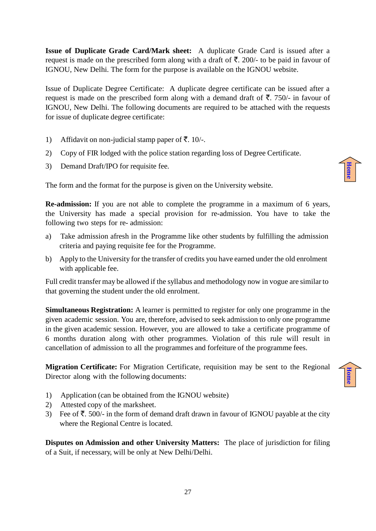**Issue of Duplicate Grade Card/Mark sheet:** A duplicate Grade Card is issued after a request is made on the prescribed form along with a draft of  $\bar{\tau}$ . 200/- to be paid in favour of IGNOU, New Delhi. The form for the purpose is available on the IGNOU website.

Issue of Duplicate Degree Certificate: A duplicate degree certificate can be issued after a request is made on the prescribed form along with a demand draft of  $\bar{\tau}$ . 750/- in favour of IGNOU, New Delhi. The following documents are required to be attached with the requests for issue of duplicate degree certificate:

- 1) Affidavit on non-judicial stamp paper of  $\bar{\mathbf{z}}$ . 10/-.
- 2) Copy of FIR lodged with the police station regarding loss of Degree Certificate.
- 3) Demand Draft/IPO for requisite fee.

The form and the format for the purpose is given on the University website.

**Re-admission:** If you are not able to complete the programme in a maximum of 6 years, the University has made a special provision for re-admission. You have to take the following two steps for re- admission:

- a) Take admission afresh in the Programme like other students by fulfilling the admission criteria and paying requisite fee for the Programme.
- b) Apply to the University for the transfer of credits you have earned under the old enrolment with applicable fee.

Full credit transfer may be allowed if the syllabus and methodology now in vogue are similar to that governing the student under the old enrolment.

**Simultaneous Registration:** A learner is permitted to register for only one programme in the given academic session. You are, therefore, advised to seek admission to only one programme in the given academic session. However, you are allowed to take a certificate programme of 6 months duration along with other programmes. Violation of this rule will result in cancellation of admission to all the programmes and forfeiture of the programme fees.

**Migration Certificate:** For Migration Certificate, requisition may be sent to the Regional Director along with the following documents:

- 1) Application (can be obtained from the IGNOU website)
- 2) Attested copy of the marksheet.
- 3) Fee of  $\overline{\mathfrak{F}}$ . 500/- in the form of demand draft drawn in favour of IGNOU payable at the city where the Regional Centre is located.

**Disputes on Admission and other University Matters:** The place of jurisdiction for filing of a Suit, if necessary, will be only at New Delhi/Delhi.

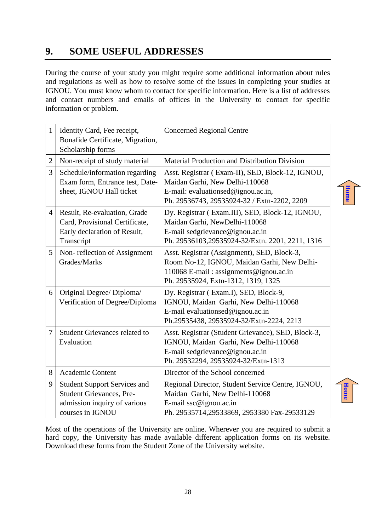# <span id="page-27-0"></span>**9. SOME USEFUL ADDRESSES**

During the course of your study you might require some additional information about rules and regulations as well as how to resolve some of the issues in completing your studies at IGNOU. You must know whom to contact for specific information. Here is a list of addresses and contact numbers and emails of offices in the University to contact for specific information or problem.

| $\mathbf{1}$   | Identity Card, Fee receipt,<br>Bonafide Certificate, Migration,<br>Scholarship forms                                       | <b>Concerned Regional Centre</b>                                                                                                                                            |             |
|----------------|----------------------------------------------------------------------------------------------------------------------------|-----------------------------------------------------------------------------------------------------------------------------------------------------------------------------|-------------|
| $\overline{2}$ | Non-receipt of study material                                                                                              | Material Production and Distribution Division                                                                                                                               |             |
| 3              | Schedule/information regarding<br>Exam form, Entrance test, Date-<br>sheet, IGNOU Hall ticket                              | Asst. Registrar (Exam-II), SED, Block-12, IGNOU,<br>Maidan Garhi, New Delhi-110068<br>E-mail: evaluationsed@ignou.ac.in,<br>Ph. 29536743, 29535924-32 / Extn-2202, 2209     | <b>Home</b> |
| $\overline{4}$ | Result, Re-evaluation, Grade<br>Card, Provisional Certificate,<br>Early declaration of Result,<br>Transcript               | Dy. Registrar (Exam.III), SED, Block-12, IGNOU,<br>Maidan Garhi, NewDelhi-110068<br>E-mail sedgrievance@ignou.ac.in<br>Ph. 29536103,29535924-32/Extn. 2201, 2211, 1316      |             |
| 5              | Non-reflection of Assignment<br>Grades/Marks                                                                               | Asst. Registrar (Assignment), SED, Block-3,<br>Room No-12, IGNOU, Maidan Garhi, New Delhi-<br>110068 E-mail: assignments@ignou.ac.in<br>Ph. 29535924, Extn-1312, 1319, 1325 |             |
| 6              | Original Degree/ Diploma/<br>Verification of Degree/Diploma                                                                | Dy. Registrar (Exam.I), SED, Block-9,<br>IGNOU, Maidan Garhi, New Delhi-110068<br>E-mail evaluationsed@ignou.ac.in<br>Ph.29535438, 29535924-32/Extn-2224, 2213              |             |
| 7              | <b>Student Grievances related to</b><br>Evaluation                                                                         | Asst. Registrar (Student Grievance), SED, Block-3,<br>IGNOU, Maidan Garhi, New Delhi-110068<br>E-mail sedgrievance@ignou.ac.in<br>Ph. 29532294, 29535924-32/Extn-1313       |             |
| 8              | Academic Content                                                                                                           | Director of the School concerned                                                                                                                                            |             |
| 9              | <b>Student Support Services and</b><br><b>Student Grievances, Pre-</b><br>admission inquiry of various<br>courses in IGNOU | Regional Director, Student Service Centre, IGNOU,<br>Maidan Garhi, New Delhi-110068<br>E-mail ssc@ignou.ac.in<br>Ph. 29535714,29533869, 2953380 Fax-29533129                | <b>Home</b> |

Most of the operations of the University are online. Wherever you are required to submit a hard copy, the University has made available different application forms on its website. Download these forms from the Student Zone of the University website.

28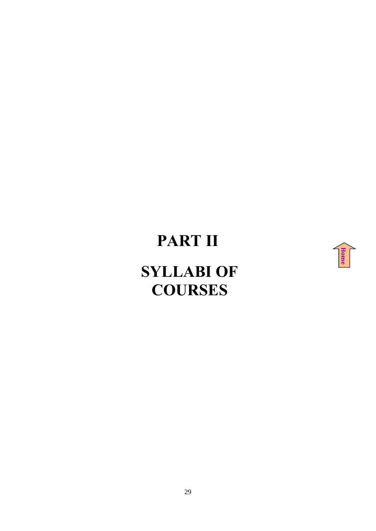# **PART II**



# <span id="page-28-0"></span>**SYLLABI OF COURSES**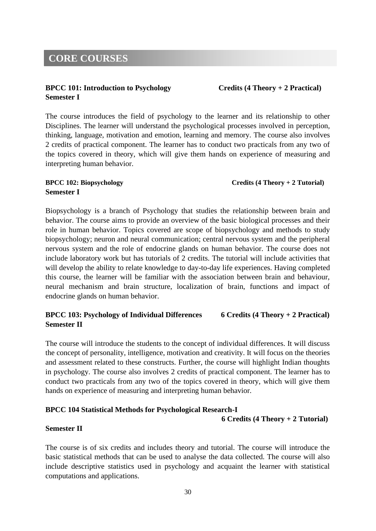# <span id="page-29-0"></span>**CORE COURSES**

# **BPCC 101: Introduction to Psychology Credits (4 Theory + 2 Practical) Semester I**

The course introduces the field of psychology to the learner and its relationship to other Disciplines. The learner will understand the psychological processes involved in perception, thinking, language, motivation and emotion, learning and memory. The course also involves 2 credits of practical component. The learner has to conduct two practicals from any two of the topics covered in theory, which will give them hands on experience of measuring and interpreting human behavior.

# **BPCC 102: Biopsychology Credits (4 Theory + 2 Tutorial) Semester I**

Biopsychology is a branch of Psychology that studies the relationship between brain and behavior. The course aims to provide an overview of the basic biological processes and their role in human behavior. Topics covered are scope of biopsychology and methods to study biopsychology; neuron and neural communication; central nervous system and the peripheral nervous system and the role of endocrine glands on human behavior. The course does not include laboratory work but has tutorials of 2 credits. The tutorial will include activities that will develop the ability to relate knowledge to day-to-day life experiences. Having completed this course, the learner will be familiar with the association between brain and behaviour, neural mechanism and brain structure, localization of brain, functions and impact of endocrine glands on human behavior.

# **BPCC 103: Psychology of Individual Differences 6 Credits (4 Theory + 2 Practical) Semester II**

The course will introduce the students to the concept of individual differences. It will discuss the concept of personality, intelligence, motivation and creativity. It will focus on the theories and assessment related to these constructs. Further, the course will highlight Indian thoughts in psychology. The course also involves 2 credits of practical component. The learner has to conduct two practicals from any two of the topics covered in theory, which will give them hands on experience of measuring and interpreting human behavior.

# **BPCC 104 Statistical Methods for Psychological Research-I**

### **6 Credits (4 Theory + 2 Tutorial)**

### **Semester II**

The course is of six credits and includes theory and tutorial. The course will introduce the basic statistical methods that can be used to analyse the data collected. The course will also include descriptive statistics used in psychology and acquaint the learner with statistical computations and applications.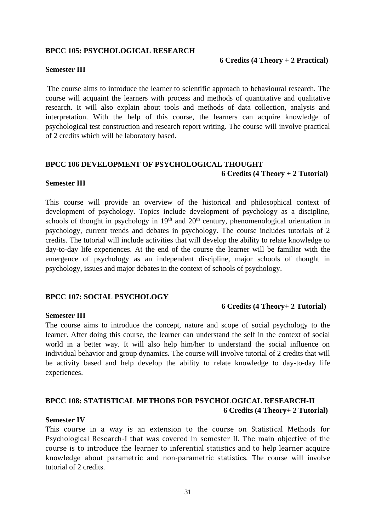#### **BPCC 105: PSYCHOLOGICAL RESEARCH**

### **Semester III**

The course aims to introduce the learner to scientific approach to behavioural research. The course will acquaint the learners with process and methods of quantitative and qualitative research. It will also explain about tools and methods of data collection, analysis and interpretation. With the help of this course, the learners can acquire knowledge of psychological test construction and research report writing. The course will involve practical of 2 credits which will be laboratory based.

# **BPCC 106 DEVELOPMENT OF PSYCHOLOGICAL THOUGHT 6 Credits (4 Theory + 2 Tutorial)**

# **Semester III**

This course will provide an overview of the historical and philosophical context of development of psychology. Topics include development of psychology as a discipline, schools of thought in psychology in  $19<sup>th</sup>$  and  $20<sup>th</sup>$  century, phenomenological orientation in psychology, current trends and debates in psychology. The course includes tutorials of 2 credits. The tutorial will include activities that will develop the ability to relate knowledge to day-to-day life experiences. At the end of the course the learner will be familiar with the emergence of psychology as an independent discipline, major schools of thought in psychology, issues and major debates in the context of schools of psychology.

# **BPCC 107: SOCIAL PSYCHOLOGY**

### **6 Credits (4 Theory+ 2 Tutorial)**

### **Semester III**

The course aims to introduce the concept, nature and scope of social psychology to the learner. After doing this course, the learner can understand the self in the context of social world in a better way. It will also help him/her to understand the social influence on individual behavior and group dynamics**.** The course will involve tutorial of 2 credits that will be activity based and help develop the ability to relate knowledge to day-to-day life experiences.

# **BPCC 108: STATISTICAL METHODS FOR PSYCHOLOGICAL RESEARCH-II 6 Credits (4 Theory+ 2 Tutorial)**

### **Semester IV**

This course in a way is an extension to the course on Statistical Methods for Psychological Research-I that was covered in semester II. The main objective of the course is to introduce the learner to inferential statistics and to help learner acquire knowledge about parametric and non-parametric statistics. The course will involve tutorial of 2 credits.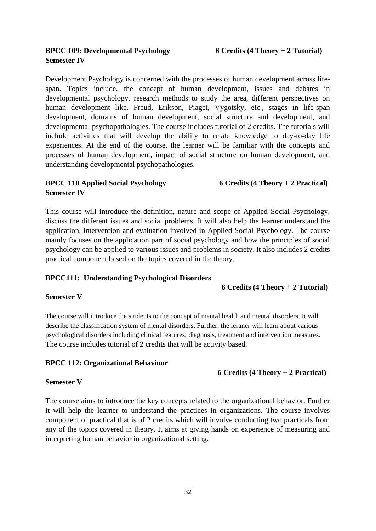Development Psychology is concerned with the processes of human development across lifespan. Topics include, the concept of human development, issues and debates in developmental psychology, research methods to study the area, different perspectives on human development like, Freud, Erikson, Piaget, Vygotsky, etc., stages in life-span development, domains of human development, social structure and development, and developmental psychopathologies. The course includes tutorial of 2 credits. The tutorials will include activities that will develop the ability to relate knowledge to day-to-day life experiences. At the end of the course, the learner will be familiar with the concepts and processes of human development, impact of social structure on human development, and understanding developmental psychopathologies.

# **BPCC 110 Applied Social Psychology 6 Credits (4 Theory + 2 Practical) Semester IV**

This course will introduce the definition, nature and scope of Applied Social Psychology, discuss the different issues and social problems. It will also help the learner understand the application, intervention and evaluation involved in Applied Social Psychology. The course mainly focuses on the application part of social psychology and how the principles of social psychology can be applied to various issues and problems in society. It also includes 2 credits practical component based on the topics covered in the theory.

# **BPCC111: Understanding Psychological Disorders**

# **6 Credits (4 Theory + 2 Tutorial)**

# **Semester V**

The course will introduce the students to the concept of mental health and mental disorders. It will describe the classification system of mental disorders. Further, the leraner will learn about various psychological disorders including clinical features, diagnosis, treatment and intervention measures. The course includes tutorial of 2 credits that will be activity based.

# **BPCC 112: Organizational Behaviour**

# **6 Credits (4 Theory + 2 Practical)**

# **Semester V**

The course aims to introduce the key concepts related to the organizational behavior. Further it will help the learner to understand the practices in organizations. The course involves component of practical that is of 2 credits which will involve conducting two practicals from any of the topics covered in theory. It aims at giving hands on experience of measuring and interpreting human behavior in organizational setting.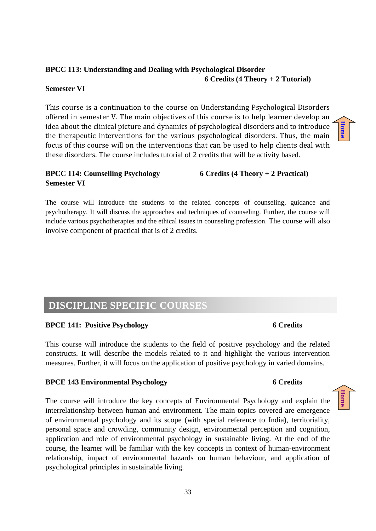# **BPCC 113: Understanding and Dealing with Psychological Disorder 6 Credits (4 Theory + 2 Tutorial)**

# **Semester VI**

This course is a continuation to the course on Understanding Psychological Disorders offered in semester V. The main objectives of this course is to help learner develop an idea about the clinical picture and dynamics of psychological disorders and to introduce the therapeutic interventions for the various psychological disorders. Thus, the main focus of this course will on the interventions that can be used to help clients deal with these disorders. The course includes tutorial of 2 credits that will be activity based.

# **BPCC 114: Counselling Psychology 6 Credits (4 Theory + 2 Practical) Semester VI**

The course will introduce the students to the related concepts of counseling, guidance and psychotherapy. It will discuss the approaches and techniques of counseling. Further, the course will include various psychotherapies and the ethical issues in counseling profession. The course will also involve component of practical that is of 2 credits.

# <span id="page-32-0"></span>**DISCIPLINE SPECIFIC COURSES**

# **BPCE 141: Positive Psychology 6 Credits**

This course will introduce the students to the field of positive psychology and the related constructs. It will describe the models related to it and highlight the various intervention measures. Further, it will focus on the application of positive psychology in varied domains.

# **BPCE 143 Environmental Psychology 6 Credits**

The course will introduce the key concepts of Environmental Psychology and explain the interrelationship between human and environment. The main topics covered are emergence of environmental psychology and its scope (with special reference to India), territoriality, personal space and crowding, community design, environmental perception and cognition, application and role of environmental psychology in sustainable living. At the end of the course, the learner will be familiar with the key concepts in context of human-environment relationship, impact of environmental hazards on human behaviour, and application of psychological principles in sustainable living.



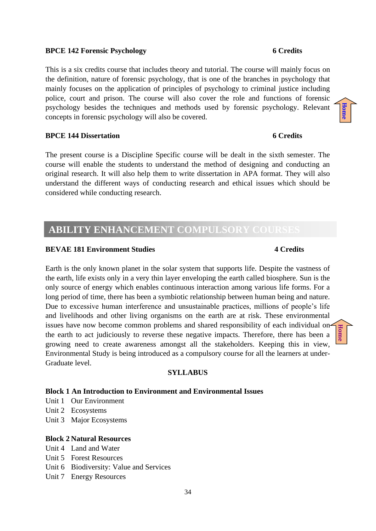### **BPCE 142 Forensic Psychology 6 Credits**

This is a six credits course that includes theory and tutorial. The course will mainly focus on the definition, nature of forensic psychology, that is one of the branches in psychology that mainly focuses on the application of principles of psychology to criminal justice including police, court and prison. The course will also cover the role and functions of forensic psychology besides the techniques and methods used by forensic psychology. Relevant concepts in forensic psychology will also be covered.

# **BPCE 144 Dissertation 6 Credits**

The present course is a Discipline Specific course will be dealt in the sixth semester. The course will enable the students to understand the method of designing and conducting an original research. It will also help them to write dissertation in APA format. They will also understand the different ways of conducting research and ethical issues which should be considered while conducting research.

# <span id="page-33-0"></span>**ABILITY ENHANCEMENT COMPULSORY COURSES**

#### **BEVAE 181 Environment Studies 4 Credits** 4 Credits

Earth is the only known planet in the solar system that supports life. Despite the vastness of the earth, life exists only in a very thin layer enveloping the earth called biosphere. Sun is the only source of energy which enables continuous interaction among various life forms. For a long period of time, there has been a symbiotic relationship between human being and nature. Due to excessive human interference and unsustainable practices, millions of people's life and livelihoods and other living organisms on the earth are at risk. These environmental issues have now become common problems and shared responsibility of each individual on the earth to act judiciously to reverse these negative impacts. Therefore, there has been a growing need to create awareness amongst all the stakeholders. Keeping this in view, Environmental Study is being introduced as a compulsory course for all the learners at under-Graduate level.

#### **SYLLABUS**

#### **Block 1 An Introduction to Environment and Environmental Issues**

- Unit 1 Our Environment
- Unit 2 Ecosystems
- Unit 3 Major Ecosystems

### **Block 2 Natural Resources**

- Unit 4 Land and Water
- Unit 5 Forest Resources
- Unit 6 Biodiversity: Value and Services
- Unit 7 Energy Resources

# **[Home](#page-3-0)**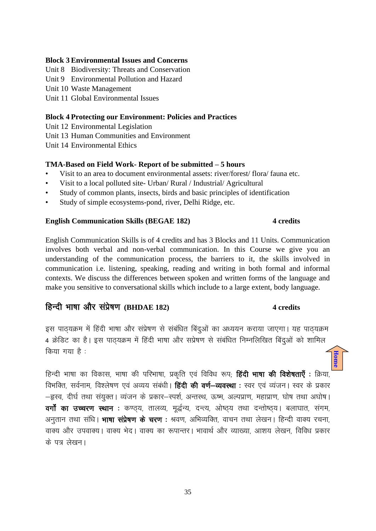## **Block 3 Environmental Issues and Concerns**

- Unit 8 Biodiversity: Threats and Conservation
- Unit 9 Environmental Pollution and Hazard
- Unit 10 Waste Management
- Unit 11 Global Environmental Issues

### **Block 4 Protecting our Environment: Policies and Practices**

- Unit 12 Environmental Legislation
- Unit 13 Human Communities and Environment
- Unit 14 Environmental Ethics

## **TMA-Based on Field Work- Report of be submitted – 5 hours**

- Visit to an area to document environmental assets: river/forest/ flora/ fauna etc.
- Visit to a local polluted site- Urban/ Rural / Industrial/ Agricultural
- Study of common plants, insects, birds and basic principles of identification
- Study of simple ecosystems-pond, river, Delhi Ridge, etc.

### **English Communication Skills (BEGAE 182) 4 credits**

# English Communication Skills is of 4 credits and has 3 Blocks and 11 Units. Communication involves both verbal and non-verbal communication. In this Course we give you an understanding of the communication process, the barriers to it, the skills involved in communication i.e. listening, speaking, reading and writing in both formal and informal contexts. We discuss the differences between spoken and written forms of the language and make you sensitive to conversational skills which include to a large extent, body language.

# हिन्दी भाषा और संप्रेषण (BHDAE 182) 4 credits

# इस पाठयक्रम में हिंदी भाषा और संप्रेषण से संबंधित बिंदुओं का अध्ययन कराया जाएगा। यह पाठयक्रम 4 क्रेडिट का है। इस पाठ्यक्रम में हिंदी भाषा और सप्रेषण से संबंधित निम्नलिखित बिंदुओं को शामिल  $\theta$ किया गया है: **[Home](#page-3-0)**

हिन्दी भाषा का विकास, भाषा की परिभाषा, प्रकृति एवं विविध रूप; **हिंदी भाषा की विशेषताएँ** : क्रिया, विभक्ति, सर्वनाम, विश्लेषण एवं अव्यय संबंधी। **हिंदी की वर्ण—व्यवस्था** : स्वर एवं व्यंजन। स्वर के प्रकार –हृस्व, दीर्घ तथा संयुक्त। व्यंजन के प्रकार–स्पर्श, अन्तस्थ, ऊष्म, अल्पप्राण, महाप्राण, घोष तथा अघोष। वर्गों का उच्चरण स्थान : कण्ठय, तालव्य, मुर्द्धन्य, दन्त्य, ओष्ठय तथा दन्तोष्ठय। बलाघात, संगम, अनुतान तथा संधि। **भाषा संप्रेषण के चरण**: श्रवण, अभिव्यक्ति, वाचन तथा लेखन। हिन्दी वाक्य रचना, वाक्य और उपवाक्य। वाक्य भेद। वाक्य का रूपान्तर। भावार्थ और व्याख्या, आशय लेखन, विविध प्रकार के पत्र लेखन।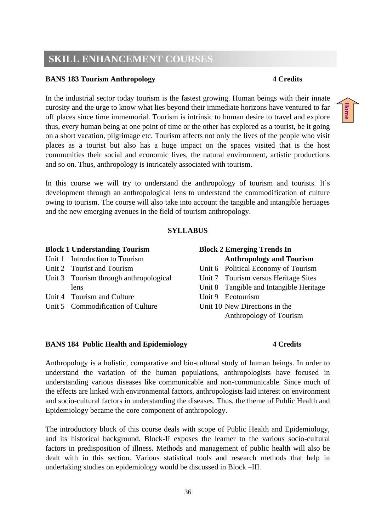# <span id="page-35-0"></span>**SKILL ENHANCEMENT COURSES**

# **BANS 183 Tourism Anthropology 4 Credits**

In the industrial sector today tourism is the fastest growing. Human beings with their innate curosity and the urge to know what lies beyond their immediate horizons have ventured to far off places since time immemorial. Tourism is intrinsic to human desire to travel and explore thus, every human being at one point of time or the other has explored as a tourist, be it going on a short vacation, pilgrimage etc. Tourism affects not only the lives of the people who visit places as a tourist but also has a huge impact on the spaces visited that is the host communities their social and economic lives, the natural environment, artistic productions and so on. Thus, anthropology is intricately associated with tourism.

In this course we will try to understand the anthropology of tourism and tourists. It's development through an anthropological lens to understand the commodification of culture owing to tourism. The course will also take into account the tangible and intangible hertiages and the new emerging avenues in the field of tourism anthropology.

## **SYLLABUS**

| <b>Block 1 Understanding Tourism</b>   | <b>Block 2 Emerging Trends In</b>       |
|----------------------------------------|-----------------------------------------|
| Unit 1 Introduction to Tourism         | <b>Anthropology and Tourism</b>         |
| Unit 2 Tourist and Tourism             | Unit 6 Political Economy of Tourism     |
| Unit 3 Tourism through anthropological | Unit 7 Tourism versus Heritage Sites    |
| lens                                   | Unit 8 Tangible and Intangible Heritage |
| Unit 4 Tourism and Culture             | Unit 9 Ecotourism                       |
| Unit 5 Commodification of Culture      | Unit 10 New Directions in the           |
|                                        | Anthropology of Tourism                 |

# **BANS 184 Public Health and Epidemiology 4 Credits**

# Anthropology is a holistic, comparative and bio-cultural study of human beings. In order to understand the variation of the human populations, anthropologists have focused in understanding various diseases like communicable and non-communicable. Since much of the effects are linked with environmental factors, anthropologists laid interest on environment and socio-cultural factors in understanding the diseases. Thus, the theme of Public Health and Epidemiology became the core component of anthropology.

The introductory block of this course deals with scope of Public Health and Epidemiology, and its historical background. Block-II exposes the learner to the various socio-cultural factors in predisposition of illness. Methods and management of public health will also be dealt with in this section. Various statistical tools and research methods that help in undertaking studies on epidemiology would be discussed in Block –III.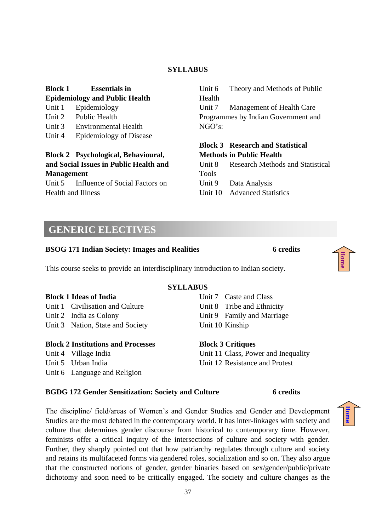# **SYLLABUS**

# **Block 1 Essentials in**

**Epidemiology and Public Health**

- Unit 1 Epidemiology
- Unit 2 Public Health
- Unit 3 Environmental Health
- Unit 4 Epidemiology of Disease

# **Block 2 Psychological, Behavioural, and Social Issues in Public Health and Management**

Unit 5 Influence of Social Factors on Health and Illness

Unit 6 Theory and Methods of Public Health Unit 7 Management of Health Care Programmes by Indian Government and NGO's:

# **Block 3 Research and Statistical Methods in Public Health**

Unit 8 Research Methods and Statistical Tools Unit 9 Data Analysis Unit 10 Advanced Statistics

# <span id="page-36-0"></span>**GENERIC ELECTIVES**

# **BSOG 171 Indian Society: Images and Realities 6 credits**

This course seeks to provide an interdisciplinary introduction to Indian society.

### **Block 1 Ideas of India** Unit 1 Civilisation and Culture Unit 2 India as Colony Unit 3 Nation, State and Society Unit 7 Caste and Class Unit 10 Kinship

# **Block 2 Institutions and Processes**

- Unit 4 Village India
- Unit 5 Urban India
- Unit 6 Language and Religion

# **SYLLABUS**

Unit 8 Tribe and Ethnicity Unit 9 Family and Marriage

**Block 3 Critiques** Unit 11 Class, Power and Inequality Unit 12 Resistance and Protest

# **BGDG 172 Gender Sensitization: Society and Culture 6 credits**

The discipline/ field/areas of Women's and Gender Studies and Gender and Development Studies are the most debated in the contemporary world. It has inter-linkages with society and culture that determines gender discourse from historical to contemporary time. However, feminists offer a critical inquiry of the intersections of culture and society with gender. Further, they sharply pointed out that how patriarchy regulates through culture and society and retains its multifaceted forms via gendered roles, socialization and so on. They also argue that the constructed notions of gender, gender binaries based on sex/gender/public/private dichotomy and soon need to be critically engaged. The society and culture changes as the



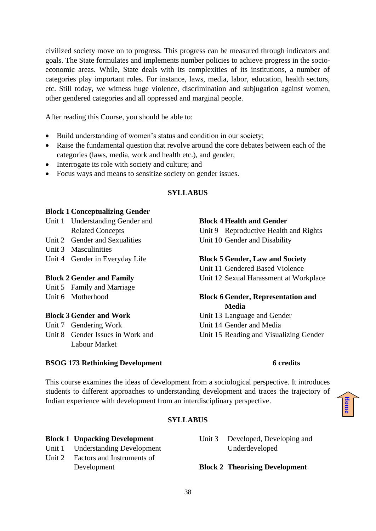civilized society move on to progress. This progress can be measured through indicators and goals. The State formulates and implements number policies to achieve progress in the socioeconomic areas. While, State deals with its complexities of its institutions, a number of categories play important roles. For instance, laws, media, labor, education, health sectors, etc. Still today, we witness huge violence, discrimination and subjugation against women, other gendered categories and all oppressed and marginal people.

After reading this Course, you should be able to:

- Build understanding of women's status and condition in our society;
- Raise the fundamental question that revolve around the core debates between each of the categories (laws, media, work and health etc.), and gender;
- Interrogate its role with society and culture; and
- Focus ways and means to sensitize society on gender issues.

# **SYLLABUS**

# **Block 1 Conceptualizing Gender**

- Unit 1 Understanding Gender and Related Concepts
- Unit 2 Gender and Sexualities
- Unit 3 Masculinities
- Unit 4 Gender in Everyday Life

# **Block 2 Gender and Family**

Unit 5 Family and Marriage

Unit 6 Motherhood

# **Block 3 Gender and Work**

Unit 7 Gendering Work

Unit 8 Gender Issues in Work and Labour Market

# **Block 4 Health and Gender**

Unit 9 Reproductive Health and Rights Unit 10 Gender and Disability

# **Block 5 Gender, Law and Society**

Unit 11 Gendered Based Violence Unit 12 Sexual Harassment at Workplace

# **Block 6 Gender, Representation and Media**

Unit 13 Language and Gender Unit 14 Gender and Media Unit 15 Reading and Visualizing Gender

# **BSOG 173 Rethinking Development 6 credits**

This course examines the ideas of development from a sociological perspective. It introduces students to different approaches to understanding development and traces the trajectory of Indian experience with development from an interdisciplinary perspective.

# **[Home](#page-3-0)**

# **SYLLABUS**

# **Block 1 Unpacking Development**

- Unit 1 Understanding Development
- Unit 2 Factors and Instruments of Development

# Unit 3 Developed, Developing and Underdeveloped

# **Block 2 Theorising Development**